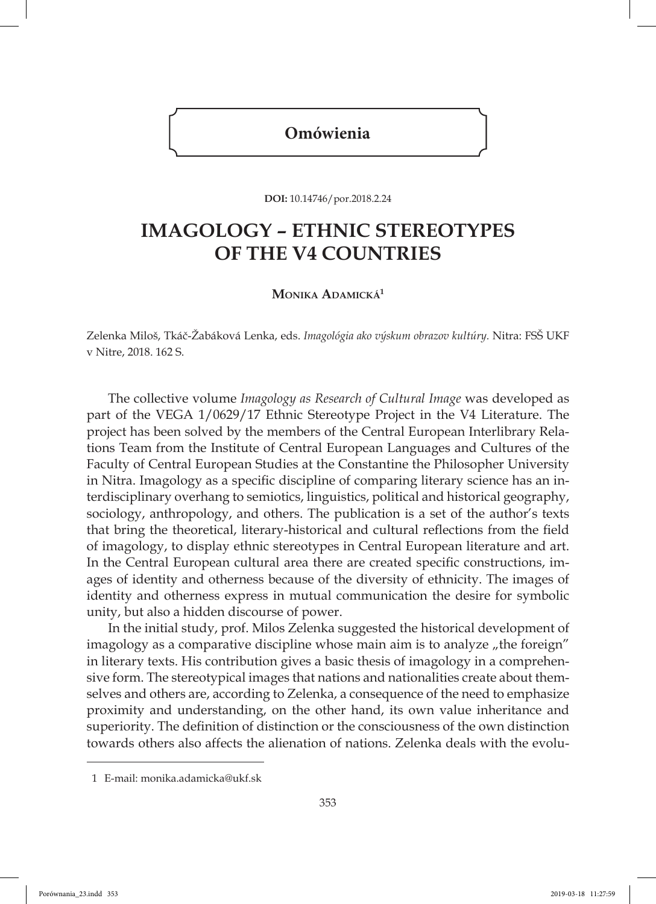## **Omówienia**

**DOI:** 10.14746/por.2018.2.24

## **IMAGOLOGY – ETHNIC STEREOTYPES OF THE V4 COUNTRIES**

**Monika Adamická<sup>1</sup>**

Zelenka Miloš, Tkáč-Žabáková Lenka, eds. *Imagológia ako výskum obrazov kultúry.* Nitra: FSŠ UKF v Nitre, 2018. 162 S.

The collective volume *Imagology as Research of Cultural Image* was developed as part of the VEGA 1/0629/17 Ethnic Stereotype Project in the V4 Literature. The project has been solved by the members of the Central European Interlibrary Relations Team from the Institute of Central European Languages and Cultures of the Faculty of Central European Studies at the Constantine the Philosopher University in Nitra. Imagology as a specific discipline of comparing literary science has an interdisciplinary overhang to semiotics, linguistics, political and historical geography, sociology, anthropology, and others. The publication is a set of the author's texts that bring the theoretical, literary-historical and cultural reflections from the field of imagology, to display ethnic stereotypes in Central European literature and art. In the Central European cultural area there are created specific constructions, images of identity and otherness because of the diversity of ethnicity. The images of identity and otherness express in mutual communication the desire for symbolic unity, but also a hidden discourse of power.

In the initial study, prof. Milos Zelenka suggested the historical development of imagology as a comparative discipline whose main aim is to analyze  $n$  the foreign" in literary texts. His contribution gives a basic thesis of imagology in a comprehensive form. The stereotypical images that nations and nationalities create about themselves and others are, according to Zelenka, a consequence of the need to emphasize proximity and understanding, on the other hand, its own value inheritance and superiority. The definition of distinction or the consciousness of the own distinction towards others also affects the alienation of nations. Zelenka deals with the evolu-

<sup>1</sup> E-mail: monika.adamicka@ukf.sk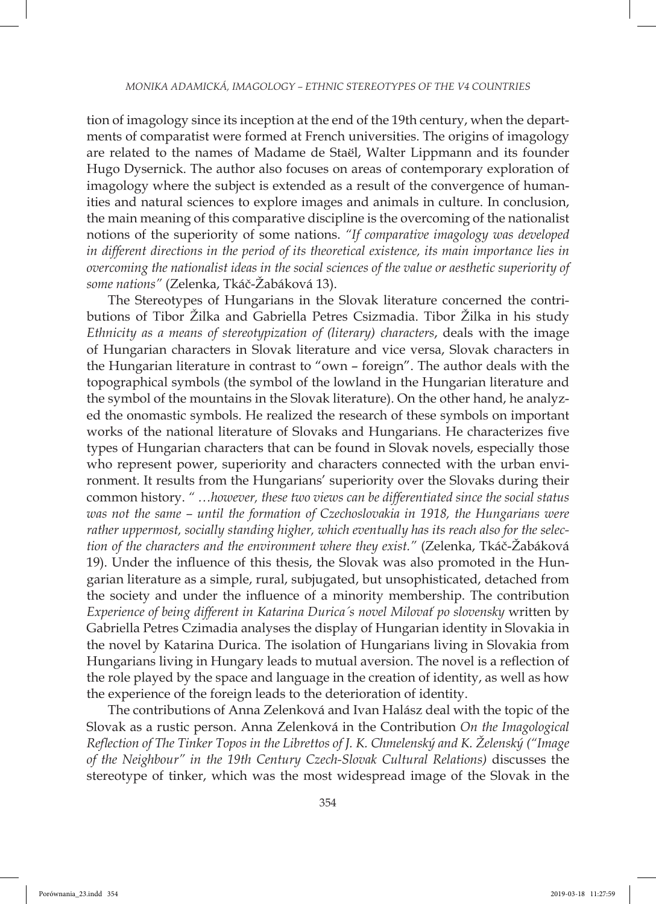tion of imagology since its inception at the end of the 19th century, when the departments of comparatist were formed at French universities. The origins of imagology are related to the names of Madame de Staël, Walter Lippmann and its founder Hugo Dysernick. The author also focuses on areas of contemporary exploration of imagology where the subject is extended as a result of the convergence of humanities and natural sciences to explore images and animals in culture. In conclusion, the main meaning of this comparative discipline is the overcoming of the nationalist notions of the superiority of some nations. *"If comparative imagology was developed in different directions in the period of its theoretical existence, its main importance lies in overcoming the nationalist ideas in the social sciences of the value or aesthetic superiority of some nations"* (Zelenka, Tkáč-Žabáková 13).

The Stereotypes of Hungarians in the Slovak literature concerned the contributions of Tibor Žilka and Gabriella Petres Csizmadia. Tibor Žilka in his study *Ethnicity as a means of stereotypization of (literary) characters*, deals with the image of Hungarian characters in Slovak literature and vice versa, Slovak characters in the Hungarian literature in contrast to "own – foreign". The author deals with the topographical symbols (the symbol of the lowland in the Hungarian literature and the symbol of the mountains in the Slovak literature). On the other hand, he analyzed the onomastic symbols. He realized the research of these symbols on important works of the national literature of Slovaks and Hungarians. He characterizes five types of Hungarian characters that can be found in Slovak novels, especially those who represent power, superiority and characters connected with the urban environment. It results from the Hungarians' superiority over the Slovaks during their common history. *" …however, these two views can be differentiated since the social status was not the same – until the formation of Czechoslovakia in 1918, the Hungarians were rather uppermost, socially standing higher, which eventually has its reach also for the selection of the characters and the environment where they exist."* (Zelenka, Tkáč-Žabáková 19). Under the influence of this thesis, the Slovak was also promoted in the Hungarian literature as a simple, rural, subjugated, but unsophisticated, detached from the society and under the influence of a minority membership. The contribution *Experience of being different in Katarina Durica´s novel Milovať po slovensky* written by Gabriella Petres Czimadia analyses the display of Hungarian identity in Slovakia in the novel by Katarina Durica. The isolation of Hungarians living in Slovakia from Hungarians living in Hungary leads to mutual aversion. The novel is a reflection of the role played by the space and language in the creation of identity, as well as how the experience of the foreign leads to the deterioration of identity.

The contributions of Anna Zelenková and Ivan Halász deal with the topic of the Slovak as a rustic person. Anna Zelenková in the Contribution *On the Imagological Reflection of The Tinker Topos in the Librettos of J. K. Chmelenský and K. Želenský ("Image of the Neighbour" in the 19th Century Czech-Slovak Cultural Relations)* discusses the stereotype of tinker, which was the most widespread image of the Slovak in the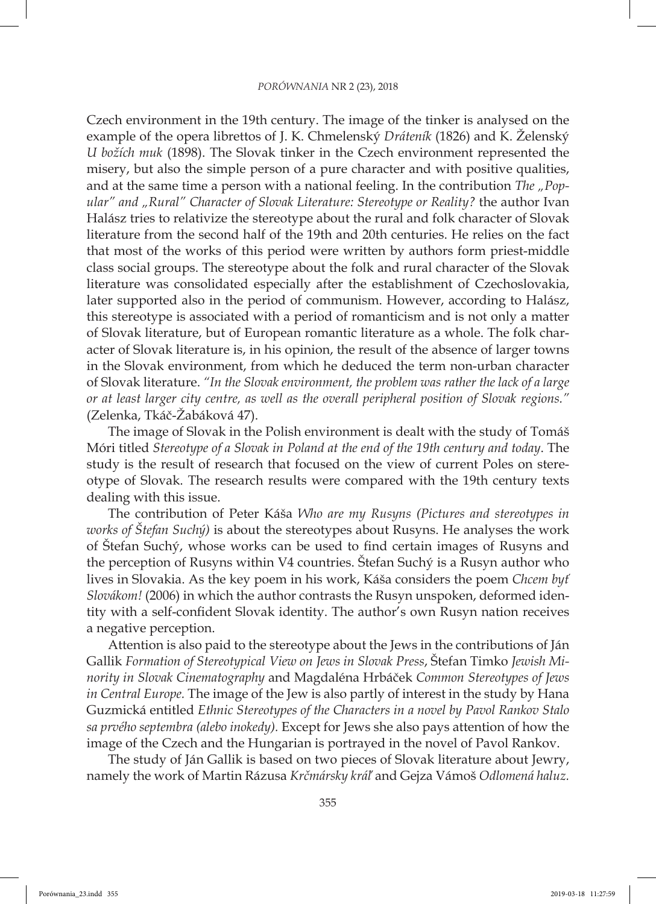Czech environment in the 19th century. The image of the tinker is analysed on the example of the opera librettos of J. K. Chmelenský *Dráteník* (1826) and K. Želenský *U božích muk* (1898). The Slovak tinker in the Czech environment represented the misery, but also the simple person of a pure character and with positive qualities, and at the same time a person with a national feeling. In the contribution *The* "Pop*ular" and "Rural" Character of Slovak Literature: Stereotype or Reality?* the author Ivan Halász tries to relativize the stereotype about the rural and folk character of Slovak literature from the second half of the 19th and 20th centuries. He relies on the fact that most of the works of this period were written by authors form priest-middle class social groups. The stereotype about the folk and rural character of the Slovak literature was consolidated especially after the establishment of Czechoslovakia, later supported also in the period of communism. However, according to Halász, this stereotype is associated with a period of romanticism and is not only a matter of Slovak literature, but of European romantic literature as a whole. The folk character of Slovak literature is, in his opinion, the result of the absence of larger towns in the Slovak environment, from which he deduced the term non-urban character of Slovak literature. *"In the Slovak environment, the problem was rather the lack of a large or at least larger city centre, as well as the overall peripheral position of Slovak regions."* (Zelenka, Tkáč-Žabáková 47).

The image of Slovak in the Polish environment is dealt with the study of Tomáš Móri titled *Stereotype of a Slovak in Poland at the end of the 19th century and today*. The study is the result of research that focused on the view of current Poles on stereotype of Slovak. The research results were compared with the 19th century texts dealing with this issue.

The contribution of Peter Káša *Who are my Rusyns (Pictures and stereotypes in works of Štefan Suchý)* is about the stereotypes about Rusyns. He analyses the work of Štefan Suchý, whose works can be used to find certain images of Rusyns and the perception of Rusyns within V4 countries. Štefan Suchý is a Rusyn author who lives in Slovakia. As the key poem in his work, Káša considers the poem *Chcem byť Slovákom!* (2006) in which the author contrasts the Rusyn unspoken, deformed identity with a self-confident Slovak identity. The author's own Rusyn nation receives a negative perception.

Attention is also paid to the stereotype about the Jews in the contributions of Ján Gallik *Formation of Stereotypical View on Jews in Slovak Press*, Štefan Timko *Jewish Minority in Slovak Cinematography* and Magdaléna Hrbáček *Common Stereotypes of Jews in Central Europe.* The image of the Jew is also partly of interest in the study by Hana Guzmická entitled *Ethnic Stereotypes of the Characters in a novel by Pavol Rankov Stalo sa prvého septembra (alebo inokedy).* Except for Jews she also pays attention of how the image of the Czech and the Hungarian is portrayed in the novel of Pavol Rankov.

The study of Ján Gallik is based on two pieces of Slovak literature about Jewry, namely the work of Martin Rázusa *Krčmársky kráľ* and Gejza Vámoš *Odlomená haluz.*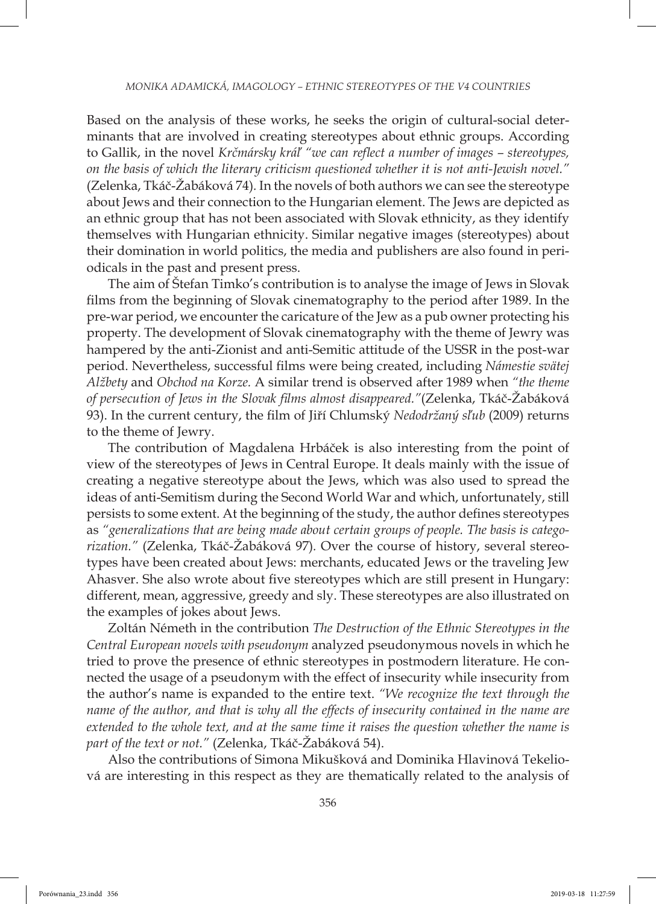Based on the analysis of these works, he seeks the origin of cultural-social determinants that are involved in creating stereotypes about ethnic groups. According to Gallik, in the novel *Krčmársky kráľ "we can reflect a number of images – stereotypes, on the basis of which the literary criticism questioned whether it is not anti-Jewish novel."* (Zelenka, Tkáč-Žabáková 74)*.* In the novels of both authors we can see the stereotype about Jews and their connection to the Hungarian element. The Jews are depicted as an ethnic group that has not been associated with Slovak ethnicity, as they identify themselves with Hungarian ethnicity. Similar negative images (stereotypes) about their domination in world politics, the media and publishers are also found in periodicals in the past and present press.

The aim of Štefan Timko's contribution is to analyse the image of Jews in Slovak films from the beginning of Slovak cinematography to the period after 1989. In the pre-war period, we encounter the caricature of the Jew as a pub owner protecting his property. The development of Slovak cinematography with the theme of Jewry was hampered by the anti-Zionist and anti-Semitic attitude of the USSR in the post-war period. Nevertheless, successful films were being created, including *Námestie svätej Alžbety* and *Obchod na Korze.* A similar trend is observed after 1989 when *"the theme of persecution of Jews in the Slovak films almost disappeared."*(Zelenka, Tkáč-Žabáková 93). In the current century, the film of Jiří Chlumský *Nedodržaný sľub* (2009) returns to the theme of Jewry.

The contribution of Magdalena Hrbáček is also interesting from the point of view of the stereotypes of Jews in Central Europe. It deals mainly with the issue of creating a negative stereotype about the Jews, which was also used to spread the ideas of anti-Semitism during the Second World War and which, unfortunately, still persists to some extent. At the beginning of the study, the author defines stereotypes as *"generalizations that are being made about certain groups of people. The basis is categorization."* (Zelenka, Tkáč-Žabáková 97)*.* Over the course of history, several stereotypes have been created about Jews: merchants, educated Jews or the traveling Jew Ahasver. She also wrote about five stereotypes which are still present in Hungary: different, mean, aggressive, greedy and sly. These stereotypes are also illustrated on the examples of jokes about Jews.

Zoltán Németh in the contribution *The Destruction of the Ethnic Stereotypes in the Central European novels with pseudonym* analyzed pseudonymous novels in which he tried to prove the presence of ethnic stereotypes in postmodern literature. He connected the usage of a pseudonym with the effect of insecurity while insecurity from the author's name is expanded to the entire text. *"We recognize the text through the name of the author, and that is why all the effects of insecurity contained in the name are extended to the whole text, and at the same time it raises the question whether the name is part of the text or not."* (Zelenka, Tkáč-Žabáková 54).

Also the contributions of Simona Mikušková and Dominika Hlavinová Tekeliová are interesting in this respect as they are thematically related to the analysis of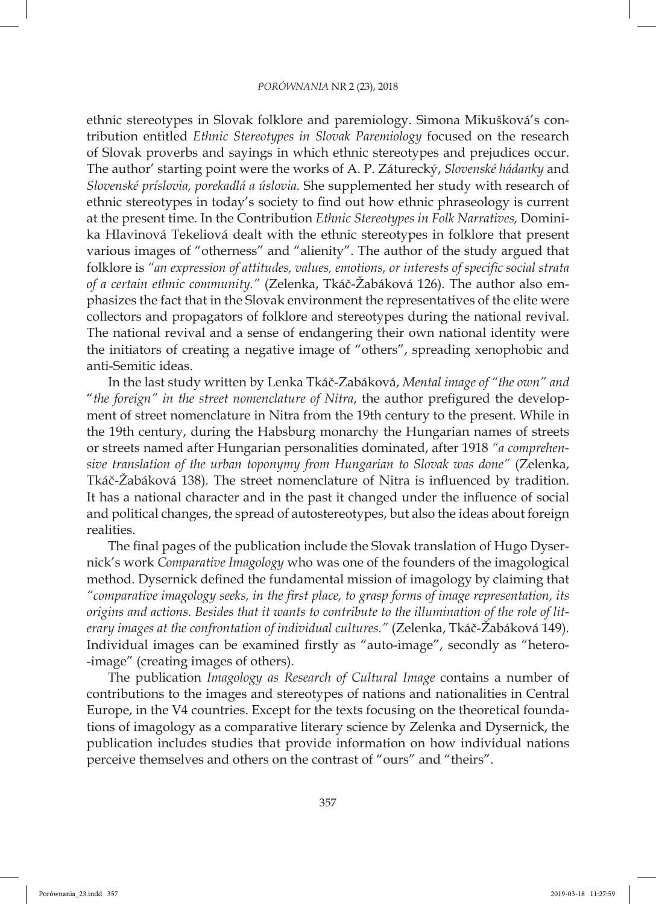ethnic stereotypes in Slovak folklore and paremiology. Simona Mikušková's contribution entitled *Ethnic Stereotypes in Slovak Paremiology* focused on the research of Slovak proverbs and sayings in which ethnic stereotypes and prejudices occur. The author' starting point were the works of A. P. Záturecký, *Slovenské hádanky* and *Slovenské príslovia, porekadlá a úslovia.* She supplemented her study with research of ethnic stereotypes in today's society to find out how ethnic phraseology is current at the present time. In the Contribution *Ethnic Stereotypes in Folk Narratives,* Dominika Hlavinová Tekeliová dealt with the ethnic stereotypes in folklore that present various images of "otherness" and "alienity". The author of the study argued that folklore is *"an expression of attitudes, values, emotions, or interests of specific social strata of a certain ethnic community."* (Zelenka, Tkáč-Žabáková 126)*.* The author also emphasizes the fact that in the Slovak environment the representatives of the elite were collectors and propagators of folklore and stereotypes during the national revival. The national revival and a sense of endangering their own national identity were the initiators of creating a negative image of "others", spreading xenophobic and anti-Semitic ideas.

In the last study written by Lenka Tkáč-Zabáková, *Mental image of "the own" and*  "*the foreign" in the street nomenclature of Nitra*, the author prefigured the development of street nomenclature in Nitra from the 19th century to the present. While in the 19th century, during the Habsburg monarchy the Hungarian names of streets or streets named after Hungarian personalities dominated, after 1918 *"a comprehensive translation of the urban toponymy from Hungarian to Slovak was done"* (Zelenka, Tkáč-Žabáková 138)*.* The street nomenclature of Nitra is influenced by tradition. It has a national character and in the past it changed under the influence of social and political changes, the spread of autostereotypes, but also the ideas about foreign realities.

The final pages of the publication include the Slovak translation of Hugo Dysernick's work *Comparative Imagology* who was one of the founders of the imagological method. Dysernick defined the fundamental mission of imagology by claiming that *"comparative imagology seeks, in the first place, to grasp forms of image representation, its origins and actions. Besides that it wants to contribute to the illumination of the role of literary images at the confrontation of individual cultures."* (Zelenka, Tkáč-Žabáková 149)*.* Individual images can be examined firstly as "auto-image", secondly as "hetero- -image" (creating images of others).

The publication *Imagology as Research of Cultural Image* contains a number of contributions to the images and stereotypes of nations and nationalities in Central Europe, in the V4 countries. Except for the texts focusing on the theoretical foundations of imagology as a comparative literary science by Zelenka and Dysernick, the publication includes studies that provide information on how individual nations perceive themselves and others on the contrast of "ours" and "theirs".